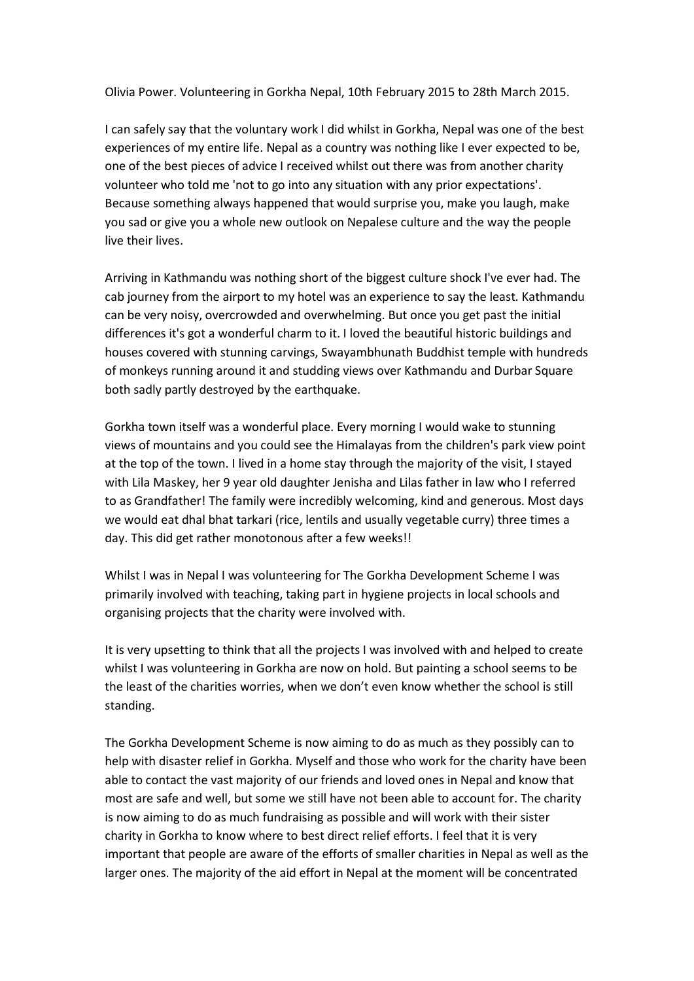Olivia Power. Volunteering in Gorkha Nepal, 10th February 2015 to 28th March 2015.

I can safely say that the voluntary work I did whilst in Gorkha, Nepal was one of the best experiences of my entire life. Nepal as a country was nothing like I ever expected to be, one of the best pieces of advice I received whilst out there was from another charity volunteer who told me 'not to go into any situation with any prior expectations'. Because something always happened that would surprise you, make you laugh, make you sad or give you a whole new outlook on Nepalese culture and the way the people live their lives.

Arriving in Kathmandu was nothing short of the biggest culture shock I've ever had. The cab journey from the airport to my hotel was an experience to say the least. Kathmandu can be very noisy, overcrowded and overwhelming. But once you get past the initial differences it's got a wonderful charm to it. I loved the beautiful historic buildings and houses covered with stunning carvings, Swayambhunath Buddhist temple with hundreds of monkeys running around it and studding views over Kathmandu and Durbar Square both sadly partly destroyed by the earthquake.

Gorkha town itself was a wonderful place. Every morning I would wake to stunning views of mountains and you could see the Himalayas from the children's park view point at the top of the town. I lived in a home stay through the majority of the visit, I stayed with Lila Maskey, her 9 year old daughter Jenisha and Lilas father in law who I referred to as Grandfather! The family were incredibly welcoming, kind and generous. Most days we would eat dhal bhat tarkari (rice, lentils and usually vegetable curry) three times a day. This did get rather monotonous after a few weeks!!

Whilst I was in Nepal I was volunteering for The Gorkha Development Scheme I was primarily involved with teaching, taking part in hygiene projects in local schools and organising projects that the charity were involved with.

It is very upsetting to think that all the projects I was involved with and helped to create whilst I was volunteering in Gorkha are now on hold. But painting a school seems to be the least of the charities worries, when we don't even know whether the school is still standing.

The Gorkha Development Scheme is now aiming to do as much as they possibly can to help with disaster relief in Gorkha. Myself and those who work for the charity have been able to contact the vast majority of our friends and loved ones in Nepal and know that most are safe and well, but some we still have not been able to account for. The charity is now aiming to do as much fundraising as possible and will work with their sister charity in Gorkha to know where to best direct relief efforts. I feel that it is very important that people are aware of the efforts of smaller charities in Nepal as well as the larger ones. The majority of the aid effort in Nepal at the moment will be concentrated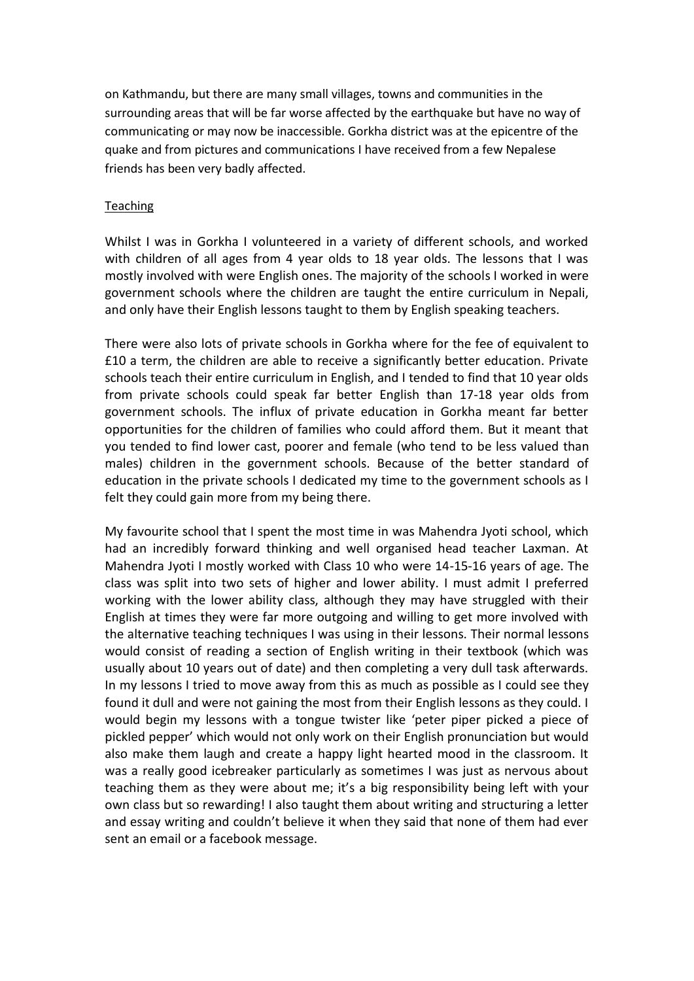on Kathmandu, but there are many small villages, towns and communities in the surrounding areas that will be far worse affected by the earthquake but have no way of communicating or may now be inaccessible. Gorkha district was at the epicentre of the quake and from pictures and communications I have received from a few Nepalese friends has been very badly affected.

## **Teaching**

Whilst I was in Gorkha I volunteered in a variety of different schools, and worked with children of all ages from 4 year olds to 18 year olds. The lessons that I was mostly involved with were English ones. The majority of the schools I worked in were government schools where the children are taught the entire curriculum in Nepali, and only have their English lessons taught to them by English speaking teachers.

There were also lots of private schools in Gorkha where for the fee of equivalent to £10 a term, the children are able to receive a significantly better education. Private schools teach their entire curriculum in English, and I tended to find that 10 year olds from private schools could speak far better English than 17-18 year olds from government schools. The influx of private education in Gorkha meant far better opportunities for the children of families who could afford them. But it meant that you tended to find lower cast, poorer and female (who tend to be less valued than males) children in the government schools. Because of the better standard of education in the private schools I dedicated my time to the government schools as I felt they could gain more from my being there.

My favourite school that I spent the most time in was Mahendra Jyoti school, which had an incredibly forward thinking and well organised head teacher Laxman. At Mahendra Jyoti I mostly worked with Class 10 who were 14-15-16 years of age. The class was split into two sets of higher and lower ability. I must admit I preferred working with the lower ability class, although they may have struggled with their English at times they were far more outgoing and willing to get more involved with the alternative teaching techniques I was using in their lessons. Their normal lessons would consist of reading a section of English writing in their textbook (which was usually about 10 years out of date) and then completing a very dull task afterwards. In my lessons I tried to move away from this as much as possible as I could see they found it dull and were not gaining the most from their English lessons as they could. I would begin my lessons with a tongue twister like 'peter piper picked a piece of pickled pepper' which would not only work on their English pronunciation but would also make them laugh and create a happy light hearted mood in the classroom. It was a really good icebreaker particularly as sometimes I was just as nervous about teaching them as they were about me; it's a big responsibility being left with your own class but so rewarding! I also taught them about writing and structuring a letter and essay writing and couldn't believe it when they said that none of them had ever sent an email or a facebook message.